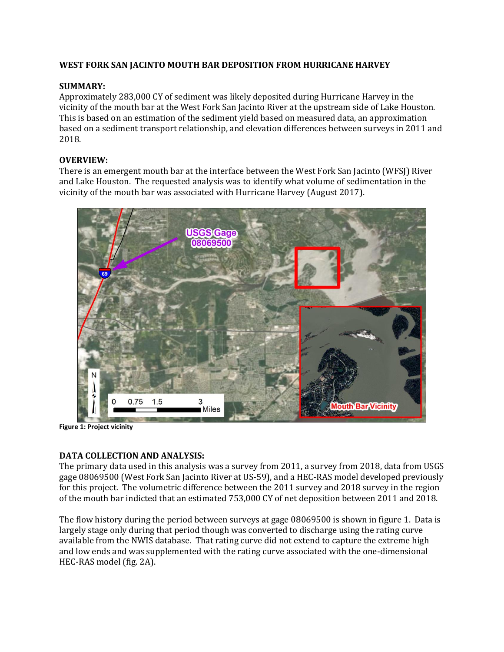## **WEST FORK SAN JACINTO MOUTH BAR DEPOSITION FROM HURRICANE HARVEY**

## **SUMMARY:**

Approximately 283,000 CY of sediment was likely deposited during Hurricane Harvey in the vicinity of the mouth bar at the West Fork San Jacinto River at the upstream side of Lake Houston. This is based on an estimation of the sediment yield based on measured data, an approximation based on a sediment transport relationship, and elevation differences between surveys in 2011 and 2018.

## **OVERVIEW:**

There is an emergent mouth bar at the interface between the West Fork San Jacinto (WFSJ) River and Lake Houston. The requested analysis was to identify what volume of sedimentation in the vicinity of the mouth bar was associated with Hurricane Harvey (August 2017).



**Figure 1: Project vicinity**

#### **DATA COLLECTION AND ANALYSIS:**

The primary data used in this analysis was a survey from 2011, a survey from 2018, data from USGS gage 08069500 (West Fork San Jacinto River at US-59), and a HEC-RAS model developed previously for this project. The volumetric difference between the 2011 survey and 2018 survey in the region of the mouth bar indicted that an estimated 753,000 CY of net deposition between 2011 and 2018.

The flow history during the period between surveys at gage 08069500 is shown in figure 1. Data is largely stage only during that period though was converted to discharge using the rating curve available from the NWIS database. That rating curve did not extend to capture the extreme high and low ends and was supplemented with the rating curve associated with the one-dimensional HEC-RAS model (fig. 2A).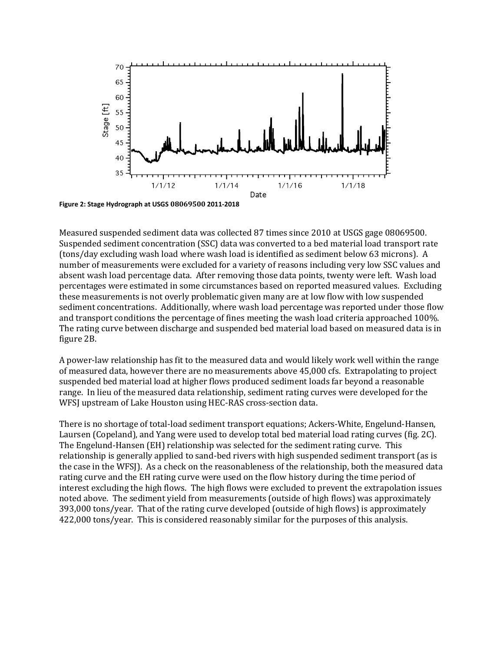

**Figure 2: Stage Hydrograph at USGS 08069500 2011-2018**

Measured suspended sediment data was collected 87 times since 2010 at USGS gage 08069500. Suspended sediment concentration (SSC) data was converted to a bed material load transport rate (tons/day excluding wash load where wash load is identified as sediment below 63 microns). A number of measurements were excluded for a variety of reasons including very low SSC values and absent wash load percentage data. After removing those data points, twenty were left. Wash load percentages were estimated in some circumstances based on reported measured values. Excluding these measurements is not overly problematic given many are at low flow with low suspended sediment concentrations. Additionally, where wash load percentage was reported under those flow and transport conditions the percentage of fines meeting the wash load criteria approached 100%. The rating curve between discharge and suspended bed material load based on measured data is in figure 2B.

A power-law relationship has fit to the measured data and would likely work well within the range of measured data, however there are no measurements above 45,000 cfs. Extrapolating to project suspended bed material load at higher flows produced sediment loads far beyond a reasonable range. In lieu of the measured data relationship, sediment rating curves were developed for the WFSJ upstream of Lake Houston using HEC-RAS cross-section data.

There is no shortage of total-load sediment transport equations; Ackers-White, Engelund-Hansen, Laursen (Copeland), and Yang were used to develop total bed material load rating curves (fig. 2C). The Engelund-Hansen (EH) relationship was selected for the sediment rating curve. This relationship is generally applied to sand-bed rivers with high suspended sediment transport (as is the case in the WFSJ). As a check on the reasonableness of the relationship, both the measured data rating curve and the EH rating curve were used on the flow history during the time period of interest excluding the high flows. The high flows were excluded to prevent the extrapolation issues noted above. The sediment yield from measurements (outside of high flows) was approximately 393,000 tons/year. That of the rating curve developed (outside of high flows) is approximately 422,000 tons/year. This is considered reasonably similar for the purposes of this analysis.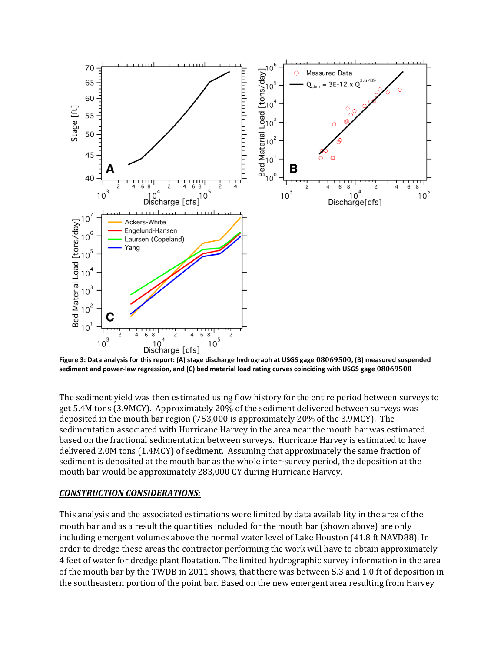

**Figure 3: Data analysis for this report: (A) stage discharge hydrograph at USGS gage 08069500, (B) measured suspended sediment and power-law regression, and (C) bed material load rating curves coinciding with USGS gage 08069500**

The sediment yield was then estimated using flow history for the entire period between surveys to get 5.4M tons (3.9MCY). Approximately 20% of the sediment delivered between surveys was deposited in the mouth bar region (753,000 is approximately 20% of the 3.9MCY). The sedimentation associated with Hurricane Harvey in the area near the mouth bar was estimated based on the fractional sedimentation between surveys. Hurricane Harvey is estimated to have delivered 2.0M tons (1.4MCY) of sediment. Assuming that approximately the same fraction of sediment is deposited at the mouth bar as the whole inter-survey period, the deposition at the mouth bar would be approximately 283,000 CY during Hurricane Harvey.

# *CONSTRUCTION CONSIDERATIONS:*

This analysis and the associated estimations were limited by data availability in the area of the mouth bar and as a result the quantities included for the mouth bar (shown above) are only including emergent volumes above the normal water level of Lake Houston (41.8 ft NAVD88). In order to dredge these areas the contractor performing the work will have to obtain approximately 4 feet of water for dredge plant floatation. The limited hydrographic survey information in the area of the mouth bar by the TWDB in 2011 shows, that there was between 5.3 and 1.0 ft of deposition in the southeastern portion of the point bar. Based on the new emergent area resulting from Harvey